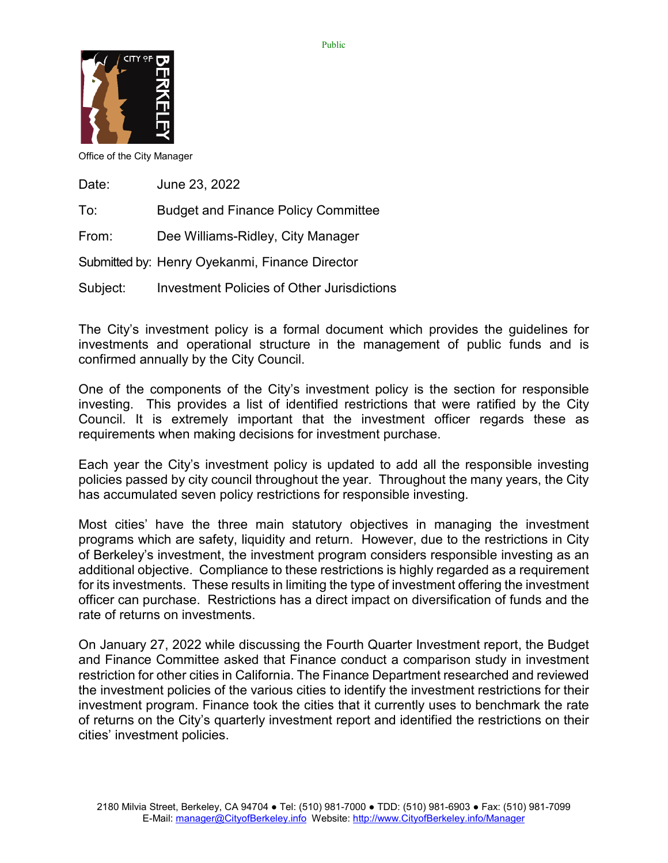

Office of the City Manager

| Date: | June 23, 2022                              |
|-------|--------------------------------------------|
| To:   | <b>Budget and Finance Policy Committee</b> |
| From: | Dee Williams-Ridley, City Manager          |

Submitted by: Henry Oyekanmi, Finance Director

Subject: Investment Policies of Other Jurisdictions

The City's investment policy is a formal document which provides the guidelines for investments and operational structure in the management of public funds and is confirmed annually by the City Council.

One of the components of the City's investment policy is the section for responsible investing. This provides a list of identified restrictions that were ratified by the City Council. It is extremely important that the investment officer regards these as requirements when making decisions for investment purchase.

Each year the City's investment policy is updated to add all the responsible investing policies passed by city council throughout the year. Throughout the many years, the City has accumulated seven policy restrictions for responsible investing.

Most cities' have the three main statutory objectives in managing the investment programs which are safety, liquidity and return. However, due to the restrictions in City of Berkeley's investment, the investment program considers responsible investing as an additional objective. Compliance to these restrictions is highly regarded as a requirement for its investments. These results in limiting the type of investment offering the investment officer can purchase. Restrictions has a direct impact on diversification of funds and the rate of returns on investments.

On January 27, 2022 while discussing the Fourth Quarter Investment report, the Budget and Finance Committee asked that Finance conduct a comparison study in investment restriction for other cities in California. The Finance Department researched and reviewed the investment policies of the various cities to identify the investment restrictions for their investment program. Finance took the cities that it currently uses to benchmark the rate of returns on the City's quarterly investment report and identified the restrictions on their cities' investment policies.